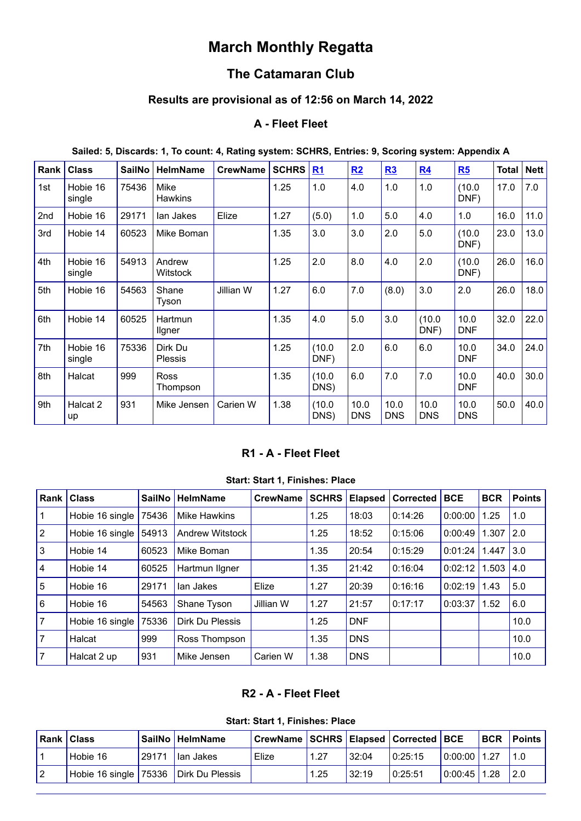# **March Monthly Regatta**

## **The Catamaran Club**

## **Results are provisional as of 12:56 on March 14, 2022**

## **A - Fleet Fleet**

| Sailed: 5, Discards: 1, To count: 4, Rating system: SCHRS, Entries: 9, Scoring system: Appendix A |  |  |  |  |  |
|---------------------------------------------------------------------------------------------------|--|--|--|--|--|
|---------------------------------------------------------------------------------------------------|--|--|--|--|--|

| Rank | <b>Class</b>       | <b>SailNo</b> | <b>HelmName</b>           | <b>CrewName</b> | <b>SCHRS</b> | R1             | R2                 | R3                 | R <sub>4</sub>     | R5                 | <b>Total</b> | <b>Nett</b> |
|------|--------------------|---------------|---------------------------|-----------------|--------------|----------------|--------------------|--------------------|--------------------|--------------------|--------------|-------------|
| 1st  | Hobie 16<br>single | 75436         | Mike<br><b>Hawkins</b>    |                 | 1.25         | 1.0            | 4.0                | 1.0                | 1.0                | (10.0)<br>DNF)     | 17.0         | 7.0         |
| 2nd  | Hobie 16           | 29171         | lan Jakes                 | Elize           | 1.27         | (5.0)          | 1.0                | 5.0                | 4.0                | 1.0                | 16.0         | 11.0        |
| 3rd  | Hobie 14           | 60523         | Mike Boman                |                 | 1.35         | 3.0            | 3.0                | 2.0                | 5.0                | (10.0)<br>DNF)     | 23.0         | 13.0        |
| 4th  | Hobie 16<br>single | 54913         | Andrew<br>Witstock        |                 | 1.25         | 2.0            | 8.0                | 4.0                | 2.0                | (10.0)<br>DNF)     | 26.0         | 16.0        |
| 5th  | Hobie 16           | 54563         | Shane<br>Tyson            | Jillian W       | 1.27         | 6.0            | 7.0                | (8.0)              | 3.0                | 2.0                | 26.0         | 18.0        |
| 6th  | Hobie 14           | 60525         | Hartmun<br>Ilgner         |                 | 1.35         | 4.0            | 5.0                | 3.0                | (10.0)<br>DNF)     | 10.0<br><b>DNF</b> | 32.0         | 22.0        |
| 7th  | Hobie 16<br>single | 75336         | Dirk Du<br><b>Plessis</b> |                 | 1.25         | (10.0)<br>DNF) | 2.0                | 6.0                | 6.0                | 10.0<br><b>DNF</b> | 34.0         | 24.0        |
| 8th  | Halcat             | 999           | <b>Ross</b><br>Thompson   |                 | 1.35         | (10.0)<br>DNS) | 6.0                | 7.0                | 7.0                | 10.0<br><b>DNF</b> | 40.0         | 30.0        |
| 9th  | Halcat 2<br>up     | 931           | Mike Jensen               | Carien W        | 1.38         | (10.0)<br>DNS) | 10.0<br><b>DNS</b> | 10.0<br><b>DNS</b> | 10.0<br><b>DNS</b> | 10.0<br><b>DNS</b> | 50.0         | 40.0        |

#### **R1 - A - Fleet Fleet**

**Start: Start 1, Finishes: Place**

<span id="page-0-0"></span>

| Rank      | <b>Class</b>    | <b>SailNo</b> | <b>HelmName</b>        | <b>CrewName</b> | <b>SCHRS</b> | <b>Elapsed</b> | <b>Corrected</b> | <b>BCE</b> | <b>BCR</b> | <b>Points</b> |
|-----------|-----------------|---------------|------------------------|-----------------|--------------|----------------|------------------|------------|------------|---------------|
| l 1       | Hobie 16 single | 75436         | <b>Mike Hawkins</b>    |                 | 1.25         | 18:03          | 0:14:26          | 0:00:00    | 1.25       | 1.0           |
| $\vert$ 2 | Hobie 16 single | 54913         | <b>Andrew Witstock</b> |                 | 1.25         | 18:52          | 0:15:06          | 0:00:49    | 1.307      | 2.0           |
| l3        | Hobie 14        | 60523         | Mike Boman             |                 | 1.35         | 20:54          | 0:15:29          | 0:01:24    | 1.447      | 3.0           |
| 14        | Hobie 14        | 60525         | Hartmun ligner         |                 | 1.35         | 21:42          | 0:16:04          | 0:02:12    | 1.503      | 4.0           |
| 5         | Hobie 16        | 29171         | lan Jakes              | Elize           | 1.27         | 20:39          | 0:16:16          | 0:02:19    | 1.43       | 5.0           |
| I۶        | Hobie 16        | 54563         | Shane Tyson            | Jillian W       | 1.27         | 21:57          | 0:17:17          | 0:03:37    | 1.52       | 6.0           |
| 7         | Hobie 16 single | 75336         | Dirk Du Plessis        |                 | 1.25         | <b>DNF</b>     |                  |            |            | 10.0          |
| 17        | Halcat          | 999           | Ross Thompson          |                 | 1.35         | <b>DNS</b>     |                  |            |            | 10.0          |
| 17        | Halcat 2 up     | 931           | Mike Jensen            | Carien W        | 1.38         | <b>DNS</b>     |                  |            |            | 10.0          |

### **R2 - A - Fleet Fleet**

**Start: Start 1, Finishes: Place**

<span id="page-0-1"></span>

| <b>Rank   Class</b>                   |       | SailNo   HelmName  | CrewName SCHRS Elapsed Corrected   BCE |      |       |          |              | <b>BCR</b> | <b>Points</b> |
|---------------------------------------|-------|--------------------|----------------------------------------|------|-------|----------|--------------|------------|---------------|
| Hobie 16                              | 29171 | <b>I</b> lan Jakes | Elize                                  | 1.27 | 32:04 | 10:25:15 | 0:00:00 1.27 |            |               |
| Hobie 16 single 75336 Dirk Du Plessis |       |                    |                                        | .25  | 32:19 | 10:25:51 | 0:00:45 1.28 |            | 12.0          |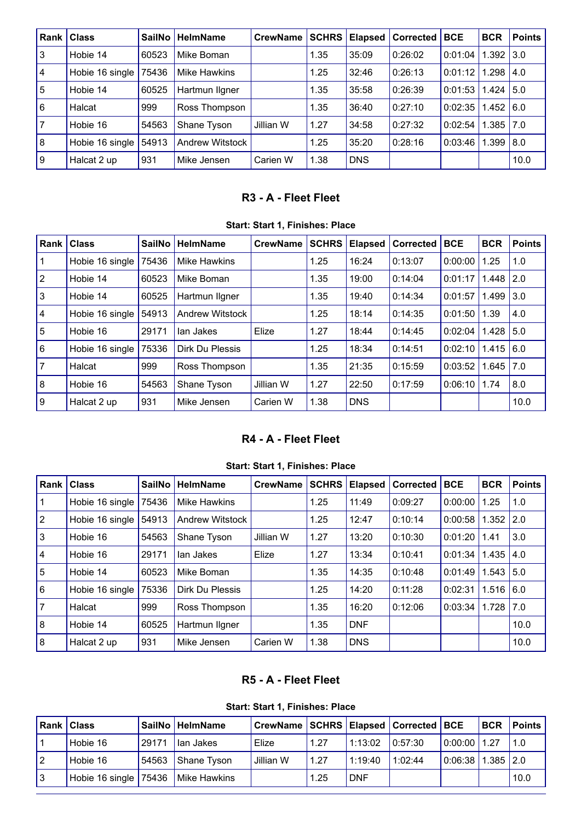| . Rank         | <b>Class</b>    | <b>SailNo</b> | <b>HelmName</b>        | <b>CrewName</b> | <b>SCHRS</b> | <b>Elapsed</b> | <b>Corrected</b> | <b>BCE</b> | <b>BCR</b>       | <b>Points</b> |
|----------------|-----------------|---------------|------------------------|-----------------|--------------|----------------|------------------|------------|------------------|---------------|
| 3              | Hobie 14        | 60523         | Mike Boman             |                 | 1.35         | 35:09          | 0:26:02          | 0:01:04    | .392             | 13.0          |
| $\overline{4}$ | Hobie 16 single | 75436         | Mike Hawkins           |                 | 1.25         | 32:46          | 0:26:13          | 0:01:12    | 1.298            | l 4.0         |
| 5              | Hobie 14        | 60525         | Hartmun Ilgner         |                 | 1.35         | 35:58          | 0:26:39          | 0:01:53    | .424             | 5.0           |
| <b>6</b>       | Halcat          | 999           | Ross Thompson          |                 | 1.35         | 36:40          | 0:27:10          | 0:02:35    | $.452 \, \, 6.0$ |               |
|                | Hobie 16        | 54563         | Shane Tyson            | Jillian W       | 1.27         | 34:58          | 0:27:32          | 0:02:54    | .385   7.0       |               |
| 8              | Hobie 16 single | 54913         | <b>Andrew Witstock</b> |                 | 1.25         | 35:20          | 0:28:16          | 0:03:46    | .399             | 8.0           |
| $\overline{9}$ | Halcat 2 up     | 931           | Mike Jensen            | Carien W        | 1.38         | <b>DNS</b>     |                  |            |                  | 10.0          |

## **R3 - A - Fleet Fleet**

|  |  | Start: Start 1, Finishes: Place |  |
|--|--|---------------------------------|--|
|--|--|---------------------------------|--|

<span id="page-1-0"></span>

| Rank            | <b>Class</b>    | <b>SailNo</b> | <b>HelmName</b>        | <b>CrewName</b> | <b>SCHRS</b> | <b>Elapsed</b> | <b>Corrected</b> | <b>BCE</b> | <b>BCR</b> | <b>Points</b> |
|-----------------|-----------------|---------------|------------------------|-----------------|--------------|----------------|------------------|------------|------------|---------------|
|                 | Hobie 16 single | 75436         | Mike Hawkins           |                 | 1.25         | 16:24          | 0:13:07          | 0:00:00    | 1.25       | 1.0           |
| $ 2\rangle$     | Hobie 14        | 60523         | Mike Boman             |                 | 1.35         | 19:00          | 0:14:04          | 0:01:17    | 1.448      | 2.0           |
| $\overline{3}$  | Hobie 14        | 60525         | Hartmun Ilgner         |                 | 1.35         | 19:40          | 0:14:34          | 0:01:57    | 1.499      | 3.0           |
| $\vert 4 \vert$ | Hobie 16 single | 54913         | <b>Andrew Witstock</b> |                 | 1.25         | 18:14          | 0:14:35          | 0:01:50    | 1.39       | 4.0           |
| $\overline{5}$  | Hobie 16        | 29171         | lan Jakes              | Elize           | 1.27         | 18:44          | 0:14:45          | 0:02:04    | 1.428      | 15.0          |
| l 6             | Hobie 16 single | 75336         | Dirk Du Plessis        |                 | 1.25         | 18:34          | 0:14:51          | 0:02:10    | 1.415      | 6.0           |
| $\overline{7}$  | Halcat          | 999           | Ross Thompson          |                 | 1.35         | 21:35          | 0:15:59          | 0:03:52    | 1.645      | 17.0          |
| $\overline{8}$  | Hobie 16        | 54563         | Shane Tyson            | Jillian W       | 1.27         | 22:50          | 0:17:59          | 0:06:10    | 1.74       | 8.0           |
| $\overline{9}$  | Halcat 2 up     | 931           | Mike Jensen            | Carien W        | 1.38         | <b>DNS</b>     |                  |            |            | 10.0          |

## **R4 - A - Fleet Fleet**

| Start: Start 1, Finishes: Place |  |  |  |
|---------------------------------|--|--|--|
|---------------------------------|--|--|--|

<span id="page-1-1"></span>

| Rank            | <b>Class</b>    | <b>SailNo</b> | <b>HelmName</b>        | <b>CrewName</b> | <b>SCHRS</b> | Elapsed    | Corrected | <b>BCE</b> | <b>BCR</b>  | <b>Points</b> |
|-----------------|-----------------|---------------|------------------------|-----------------|--------------|------------|-----------|------------|-------------|---------------|
|                 | Hobie 16 single | 75436         | Mike Hawkins           |                 | 1.25         | 11:49      | 0:09:27   | 0:00:00    | 1.25        | 1.0           |
| $ 2\rangle$     | Hobie 16 single | 54913         | <b>Andrew Witstock</b> |                 | 1.25         | 12:47      | 0:10:14   | 0:00:58    | 1.352       | 12.0          |
| $\overline{3}$  | Hobie 16        | 54563         | Shane Tyson            | Jillian W       | 1.27         | 13:20      | 0:10:30   | 0:01:20    | 1.41        | 3.0           |
| $\vert 4 \vert$ | Hobie 16        | 29171         | lan Jakes              | Elize           | 1.27         | 13:34      | 0:10:41   | 0:01:34    | 1.435       | 4.0           |
| $\overline{5}$  | Hobie 14        | 60523         | Mike Boman             |                 | 1.35         | 14:35      | 0:10:48   | 0:01:49    | $1.543$ 5.0 |               |
| 6               | Hobie 16 single | 75336         | Dirk Du Plessis        |                 | 1.25         | 14:20      | 0:11:28   | 0:02:31    | $1.516$ 6.0 |               |
| $\overline{7}$  | Halcat          | 999           | Ross Thompson          |                 | 1.35         | 16:20      | 0:12:06   | 0:03:34    | $1.728$ 7.0 |               |
| 8               | Hobie 14        | 60525         | Hartmun ligner         |                 | 1.35         | <b>DNF</b> |           |            |             | 10.0          |
| $\overline{8}$  | Halcat 2 up     | 931           | Mike Jensen            | Carien W        | 1.38         | <b>DNS</b> |           |            |             | 10.0          |

## **R5 - A - Fleet Fleet**

**Start: Start 1, Finishes: Place**

<span id="page-1-2"></span>

| <b>Rank Class</b>     |       | SailNo HelmName | CrewName SCHRS Elapsed Corrected BCE |      |            |          |                   | <b>IBCR</b> | <b>Points</b> |
|-----------------------|-------|-----------------|--------------------------------------|------|------------|----------|-------------------|-------------|---------------|
| Hobie 16              | 29171 | lan Jakes       | Elize                                | 1.27 | 1:13:02    | 10:57:30 | $10:00:00$ 1.27   |             |               |
| Hobie 16              | 54563 | Shane Tyson     | Jillian W                            | 1.27 | 1:19:40    | 1:02:44  | 0.06:38 1.385 2.0 |             |               |
| Hobie 16 single 75436 |       | Mike Hawkins    |                                      | 1.25 | <b>DNF</b> |          |                   |             | 10.0          |